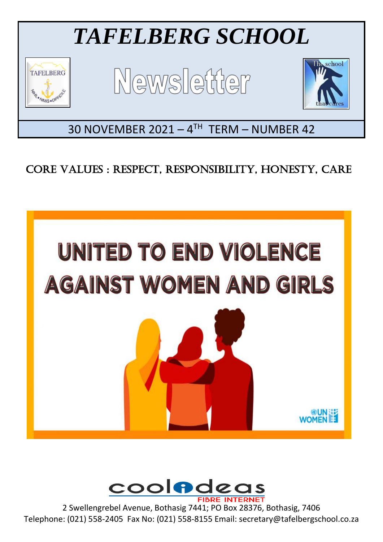

# CORE VALUES : RESPECT, RESPONSIBILITY, HONESTY, CARE





2 Swellengrebel Avenue, Bothasig 7441; PO Box 28376, Bothasig, 7406 Telephone: (021) 558-2405 Fax No: (021) 558-8155 Email: secretary@tafelbergschool.co.za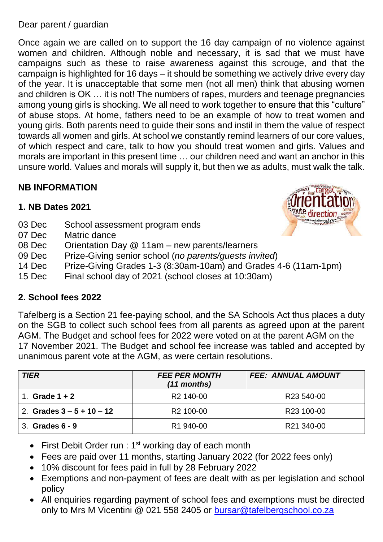#### Dear parent / guardian

Once again we are called on to support the 16 day campaign of no violence against women and children. Although noble and necessary, it is sad that we must have campaigns such as these to raise awareness against this scrouge, and that the campaign is highlighted for 16 days – it should be something we actively drive every day of the year. It is unacceptable that some men (not all men) think that abusing women and children is OK … it is not! The numbers of rapes, murders and teenage pregnancies among young girls is shocking. We all need to work together to ensure that this "culture" of abuse stops. At home, fathers need to be an example of how to treat women and young girls. Both parents need to guide their sons and instil in them the value of respect towards all women and girls. At school we constantly remind learners of our core values, of which respect and care, talk to how you should treat women and girls. Values and morals are important in this present time … our children need and want an anchor in this unsure world. Values and morals will supply it, but then we as adults, must walk the talk.

## **NB INFORMATION**

## **1. NB Dates 2021**

- 03 Dec School assessment program ends
- 07 Dec Matric dance
- 08 Dec Orientation Day @ 11am new parents/learners
- 09 Dec Prize-Giving senior school (*no parents/guests invited*)
- 14 Dec Prize-Giving Grades 1-3 (8:30am-10am) and Grades 4-6 (11am-1pm)
- 15 Dec Final school day of 2021 (school closes at 10:30am)

## **2. School fees 2022**

Tafelberg is a Section 21 fee-paying school, and the SA Schools Act thus places a duty on the SGB to collect such school fees from all parents as agreed upon at the parent AGM. The Budget and school fees for 2022 were voted on at the parent AGM on the 17 November 2021. The Budget and school fee increase was tabled and accepted by unanimous parent vote at the AGM, as were certain resolutions.

| <b>TIER</b>                 | <b>FEE PER MONTH</b><br>(11 months) | <b>FEE: ANNUAL AMOUNT</b> |
|-----------------------------|-------------------------------------|---------------------------|
| Grade $1 + 2$               | R <sub>2</sub> 140-00               | R <sub>23</sub> 540-00    |
| 2. Grades $3 - 5 + 10 - 12$ | R <sub>2</sub> 100-00               | R <sub>23</sub> 100-00    |
| 3. Grades 6 - 9             | R <sub>1</sub> 940-00               | R21 340-00                |

- First Debit Order run :  $1<sup>st</sup>$  working day of each month
- Fees are paid over 11 months, starting January 2022 (for 2022 fees only)
- 10% discount for fees paid in full by 28 February 2022
- Exemptions and non-payment of fees are dealt with as per legislation and school policy
- All enquiries regarding payment of school fees and exemptions must be directed only to Mrs M Vicentini @ 021 558 2405 or [bursar@tafelbergschool.co.za](mailto:bursar@tafelbergschool.co.za)

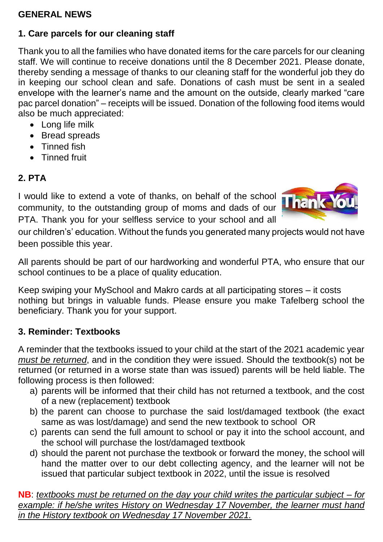## **GENERAL NEWS**

## **1. Care parcels for our cleaning staff**

Thank you to all the families who have donated items for the care parcels for our cleaning staff. We will continue to receive donations until the 8 December 2021. Please donate, thereby sending a message of thanks to our cleaning staff for the wonderful job they do in keeping our school clean and safe. Donations of cash must be sent in a sealed envelope with the learner's name and the amount on the outside, clearly marked "care pac parcel donation" – receipts will be issued. Donation of the following food items would also be much appreciated:

- Long life milk
- Bread spreads
- Tinned fish
- Tinned fruit

## **2. PTA**

I would like to extend a vote of thanks, on behalf of the school community, to the outstanding group of moms and dads of our PTA. Thank you for your selfless service to your school and all



our children's' education. Without the funds you generated many projects would not have been possible this year.

All parents should be part of our hardworking and wonderful PTA, who ensure that our school continues to be a place of quality education.

Keep swiping your MySchool and Makro cards at all participating stores – it costs nothing but brings in valuable funds. Please ensure you make Tafelberg school the beneficiary. Thank you for your support.

## **3. Reminder: Textbooks**

A reminder that the textbooks issued to your child at the start of the 2021 academic year *must be returned*, and in the condition they were issued. Should the textbook(s) not be returned (or returned in a worse state than was issued) parents will be held liable. The following process is then followed:

- a) parents will be informed that their child has not returned a textbook, and the cost of a new (replacement) textbook
- b) the parent can choose to purchase the said lost/damaged textbook (the exact same as was lost/damage) and send the new textbook to school OR
- c) parents can send the full amount to school or pay it into the school account, and the school will purchase the lost/damaged textbook
- d) should the parent not purchase the textbook or forward the money, the school will hand the matter over to our debt collecting agency, and the learner will not be issued that particular subject textbook in 2022, until the issue is resolved

**NB**: *textbooks must be returned on the day your child writes the particular subject – for example: if he/she writes History on Wednesday 17 November, the learner must hand in the History textbook on Wednesday 17 November 2021.*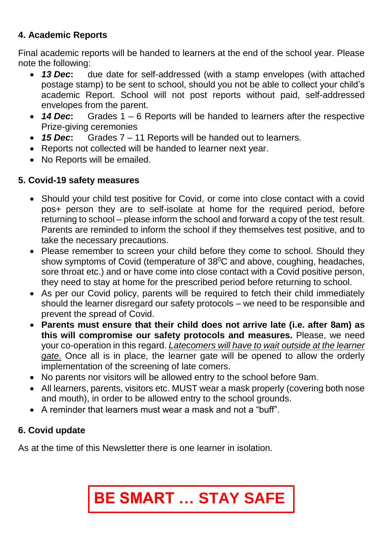# **4. Academic Reports**

Final academic reports will be handed to learners at the end of the school year. Please note the following:

- *13 Dec***:** due date for self-addressed (with a stamp envelopes (with attached postage stamp) to be sent to school, should you not be able to collect your child's academic Report. School will not post reports without paid, self-addressed envelopes from the parent.
- *14 Dec***:** Grades 1 6 Reports will be handed to learners after the respective Prize-giving ceremonies
- *15 Dec***:** Grades 7 11 Reports will be handed out to learners.
- Reports not collected will be handed to learner next year.
- No Reports will be emailed.

# **5. Covid-19 safety measures**

- Should your child test positive for Covid, or come into close contact with a covid pos+ person they are to self-isolate at home for the required period, before returning to school – please inform the school and forward a copy of the test result. Parents are reminded to inform the school if they themselves test positive, and to take the necessary precautions.
- Please remember to screen your child before they come to school. Should they show symptoms of Covid (temperature of 38<sup>°</sup>C and above, coughing, headaches, sore throat etc.) and or have come into close contact with a Covid positive person, they need to stay at home for the prescribed period before returning to school.
- As per our Covid policy, parents will be required to fetch their child immediately should the learner disregard our safety protocols – we need to be responsible and prevent the spread of Covid.
- **Parents must ensure that their child does not arrive late (i.e. after 8am) as this will compromise our safety protocols and measures.** Please, we need your co-operation in this regard. *Latecomers will have to wait outside at the learner gate.* Once all is in place, the learner gate will be opened to allow the orderly implementation of the screening of late comers.
- No parents nor visitors will be allowed entry to the school before 9am.
- All learners, parents, visitors etc. MUST wear a mask properly (covering both nose and mouth), in order to be allowed entry to the school grounds.
- A reminder that learners must wear a mask and not a "buff".

# **6. Covid update**

As at the time of this Newsletter there is one learner in isolation.